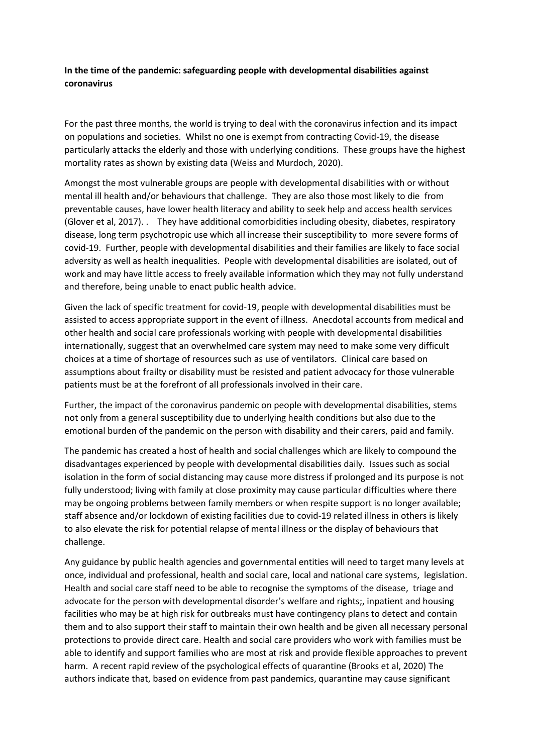## **In the time of the pandemic: safeguarding people with developmental disabilities against coronavirus**

For the past three months, the world is trying to deal with the coronavirus infection and its impact on populations and societies. Whilst no one is exempt from contracting Covid-19, the disease particularly attacks the elderly and those with underlying conditions. These groups have the highest mortality rates as shown by existing data (Weiss and Murdoch, 2020).

Amongst the most vulnerable groups are people with developmental disabilities with or without mental ill health and/or behaviours that challenge. They are also those most likely to die from preventable causes, have lower health literacy and ability to seek help and access health services (Glover et al, 2017). . They have additional comorbidities including obesity, diabetes, respiratory disease, long term psychotropic use which all increase their susceptibility to more severe forms of covid-19. Further, people with developmental disabilities and their families are likely to face social adversity as well as health inequalities. People with developmental disabilities are isolated, out of work and may have little access to freely available information which they may not fully understand and therefore, being unable to enact public health advice.

Given the lack of specific treatment for covid-19, people with developmental disabilities must be assisted to access appropriate support in the event of illness. Anecdotal accounts from medical and other health and social care professionals working with people with developmental disabilities internationally, suggest that an overwhelmed care system may need to make some very difficult choices at a time of shortage of resources such as use of ventilators. Clinical care based on assumptions about frailty or disability must be resisted and patient advocacy for those vulnerable patients must be at the forefront of all professionals involved in their care.

Further, the impact of the coronavirus pandemic on people with developmental disabilities, stems not only from a general susceptibility due to underlying health conditions but also due to the emotional burden of the pandemic on the person with disability and their carers, paid and family.

The pandemic has created a host of health and social challenges which are likely to compound the disadvantages experienced by people with developmental disabilities daily. Issues such as social isolation in the form of social distancing may cause more distress if prolonged and its purpose is not fully understood; living with family at close proximity may cause particular difficulties where there may be ongoing problems between family members or when respite support is no longer available; staff absence and/or lockdown of existing facilities due to covid-19 related illness in others is likely to also elevate the risk for potential relapse of mental illness or the display of behaviours that challenge.

Any guidance by public health agencies and governmental entities will need to target many levels at once, individual and professional, health and social care, local and national care systems, legislation. Health and social care staff need to be able to recognise the symptoms of the disease, triage and advocate for the person with developmental disorder's welfare and rights;, inpatient and housing facilities who may be at high risk for outbreaks must have contingency plans to detect and contain them and to also support their staff to maintain their own health and be given all necessary personal protections to provide direct care. Health and social care providers who work with families must be able to identify and support families who are most at risk and provide flexible approaches to prevent harm. A recent rapid review of the psychological effects of quarantine (Brooks et al, 2020) The authors indicate that, based on evidence from past pandemics, quarantine may cause significant